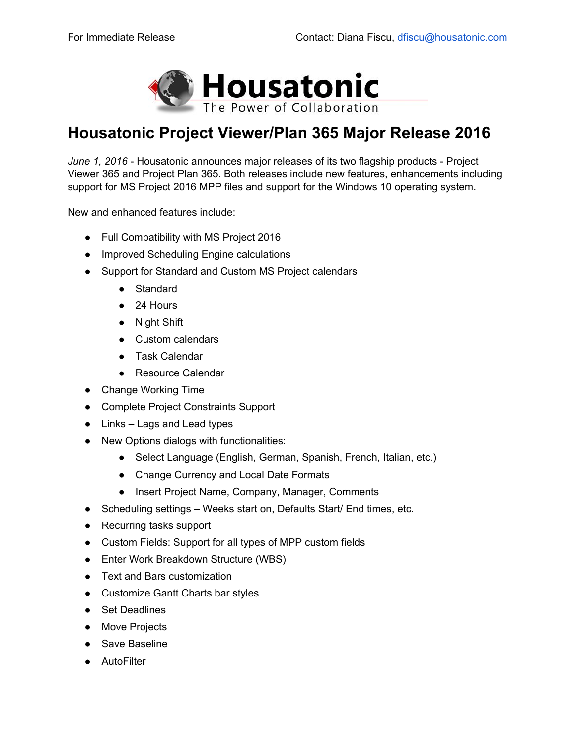

## **Housatonic Project Viewer/Plan 365 Major Release 2016**

*June* 1, 2016 - Housatonic announces major releases of its two flagship products - Project Viewer 365 and Project Plan 365. Both releases include new features, enhancements including support for MS Project 2016 MPP files and support for the Windows 10 operating system.

New and enhanced features include:

- Full Compatibility with MS Project 2016
- Improved Scheduling Engine calculations
- Support for Standard and Custom MS Project calendars
	- Standard
	- 24 Hours
	- Night Shift
	- Custom calendars
	- Task Calendar
	- Resource Calendar
- Change Working Time
- Complete Project Constraints Support
- Links Lags and Lead types
- New Options dialogs with functionalities:
	- Select Language (English, German, Spanish, French, Italian, etc.)
	- Change Currency and Local Date Formats
	- Insert Project Name, Company, Manager, Comments
- Scheduling settings Weeks start on, Defaults Start/ End times, etc.
- Recurring tasks support
- Custom Fields: Support for all types of MPP custom fields
- Enter Work Breakdown Structure (WBS)
- Text and Bars customization
- Customize Gantt Charts bar styles
- Set Deadlines
- Move Projects
- Save Baseline
- AutoFilter